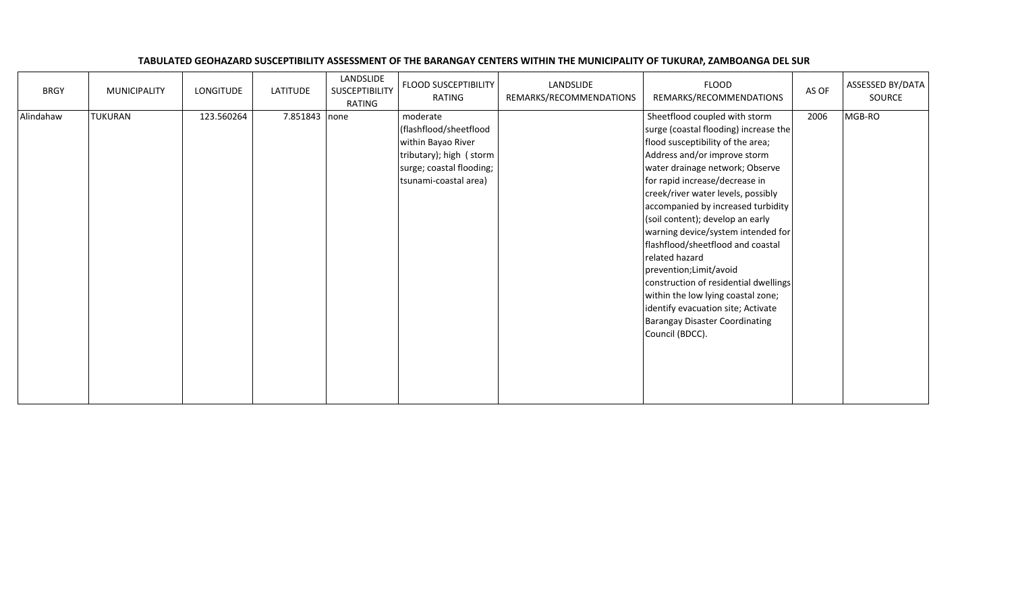| <b>BRGY</b> | <b>MUNICIPALITY</b> | LONGITUDE  | LATITUDE      | LANDSLIDE<br>SUSCEPTIBILITY<br>RATING | <b>FLOOD SUSCEPTIBILITY</b><br>RATING                                                                                                    | LANDSLIDE<br>REMARKS/RECOMMENDATIONS | <b>FLOOD</b><br>REMARKS/RECOMMENDATIONS                                                                                                                                                                                                                                                                                                                                                                                                                                                                                                                                                                                                   | AS OF | ASSESSED BY/DATA<br>SOURCE |
|-------------|---------------------|------------|---------------|---------------------------------------|------------------------------------------------------------------------------------------------------------------------------------------|--------------------------------------|-------------------------------------------------------------------------------------------------------------------------------------------------------------------------------------------------------------------------------------------------------------------------------------------------------------------------------------------------------------------------------------------------------------------------------------------------------------------------------------------------------------------------------------------------------------------------------------------------------------------------------------------|-------|----------------------------|
| Alindahaw   | <b>TUKURAN</b>      | 123.560264 | 7.851843 none |                                       | moderate<br>(flashflood/sheetflood<br>within Bayao River<br>tributary); high (storm<br>surge; coastal flooding;<br>tsunami-coastal area) |                                      | Sheetflood coupled with storm<br>surge (coastal flooding) increase the<br>flood susceptibility of the area;<br>Address and/or improve storm<br>water drainage network; Observe<br>for rapid increase/decrease in<br>creek/river water levels, possibly<br>accompanied by increased turbidity<br>(soil content); develop an early<br>warning device/system intended for<br>flashflood/sheetflood and coastal<br>related hazard<br>prevention; Limit/avoid<br>construction of residential dwellings<br>within the low lying coastal zone;<br>identify evacuation site; Activate<br><b>Barangay Disaster Coordinating</b><br>Council (BDCC). | 2006  | MGB-RO                     |

## TABULATED GEOHAZARD SUSCEPTIBILITY ASSESSMENT OF THE BARANGAY CENTERS WITHIN THE MUNICIPALITY OF TUKURAN, ZAMBOANGA DEL SUR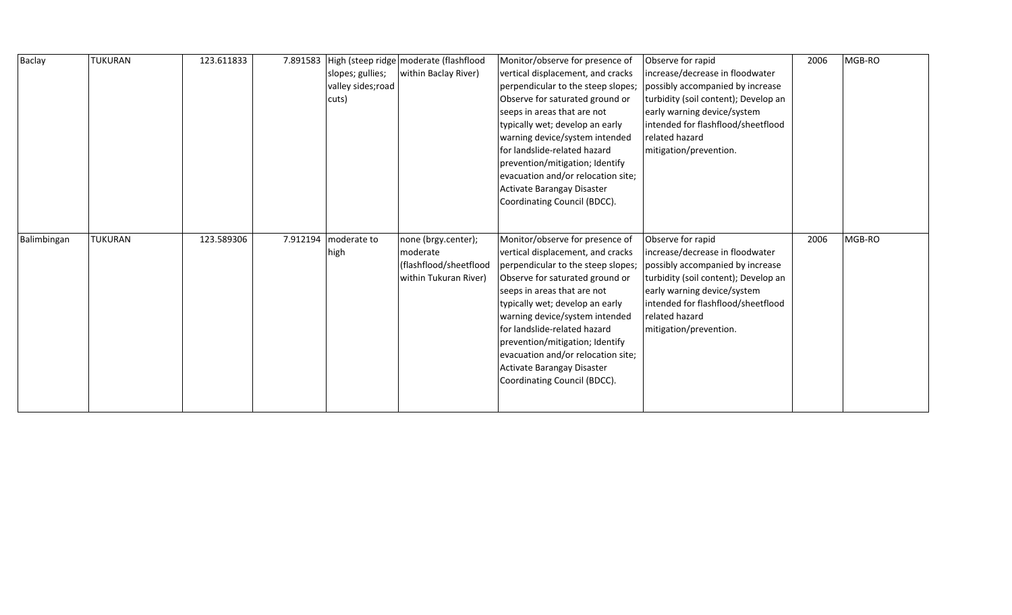| MGB-RO |
|--------|
|        |
|        |
|        |
|        |
|        |
|        |
|        |
|        |
|        |
|        |
|        |
|        |
| 2006   |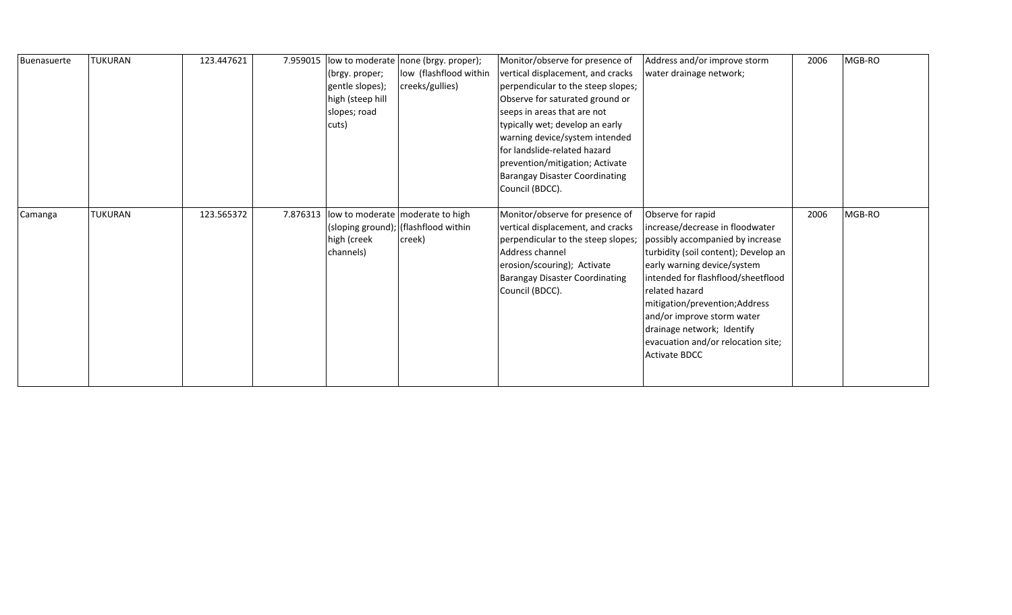| Buenasuerte | <b>TUKURAN</b> | 123.447621 | 7.959015 |                  | low to moderate none (brgy. proper);        | Monitor/observe for presence of       | Address and/or improve storm         | 2006 | MGB-RO |
|-------------|----------------|------------|----------|------------------|---------------------------------------------|---------------------------------------|--------------------------------------|------|--------|
|             |                |            |          | (brgy. proper;   | low (flashflood within                      | vertical displacement, and cracks     | water drainage network;              |      |        |
|             |                |            |          | gentle slopes);  | creeks/gullies)                             | perpendicular to the steep slopes;    |                                      |      |        |
|             |                |            |          | high (steep hill |                                             | Observe for saturated ground or       |                                      |      |        |
|             |                |            |          | slopes; road     |                                             | seeps in areas that are not           |                                      |      |        |
|             |                |            |          | cuts)            |                                             | typically wet; develop an early       |                                      |      |        |
|             |                |            |          |                  |                                             | warning device/system intended        |                                      |      |        |
|             |                |            |          |                  |                                             | for landslide-related hazard          |                                      |      |        |
|             |                |            |          |                  |                                             | prevention/mitigation; Activate       |                                      |      |        |
|             |                |            |          |                  |                                             | <b>Barangay Disaster Coordinating</b> |                                      |      |        |
|             |                |            |          |                  |                                             | Council (BDCC).                       |                                      |      |        |
|             |                |            |          |                  |                                             |                                       |                                      |      |        |
| Camanga     | <b>TUKURAN</b> | 123.565372 |          |                  | 7.876313 low to moderate   moderate to high | Monitor/observe for presence of       | Observe for rapid                    | 2006 | MGB-RO |
|             |                |            |          |                  | (sloping ground); (flashflood within        | vertical displacement, and cracks     | increase/decrease in floodwater      |      |        |
|             |                |            |          | high (creek      | creek)                                      | perpendicular to the steep slopes;    | possibly accompanied by increase     |      |        |
|             |                |            |          | channels)        |                                             | Address channel                       | turbidity (soil content); Develop an |      |        |
|             |                |            |          |                  |                                             | erosion/scouring); Activate           | early warning device/system          |      |        |
|             |                |            |          |                  |                                             | <b>Barangay Disaster Coordinating</b> | intended for flashflood/sheetflood   |      |        |
|             |                |            |          |                  |                                             | Council (BDCC).                       | related hazard                       |      |        |
|             |                |            |          |                  |                                             |                                       | mitigation/prevention;Address        |      |        |
|             |                |            |          |                  |                                             |                                       | and/or improve storm water           |      |        |
|             |                |            |          |                  |                                             |                                       | drainage network; Identify           |      |        |
|             |                |            |          |                  |                                             |                                       | evacuation and/or relocation site;   |      |        |
|             |                |            |          |                  |                                             |                                       | <b>Activate BDCC</b>                 |      |        |
|             |                |            |          |                  |                                             |                                       |                                      |      |        |
|             |                |            |          |                  |                                             |                                       |                                      |      |        |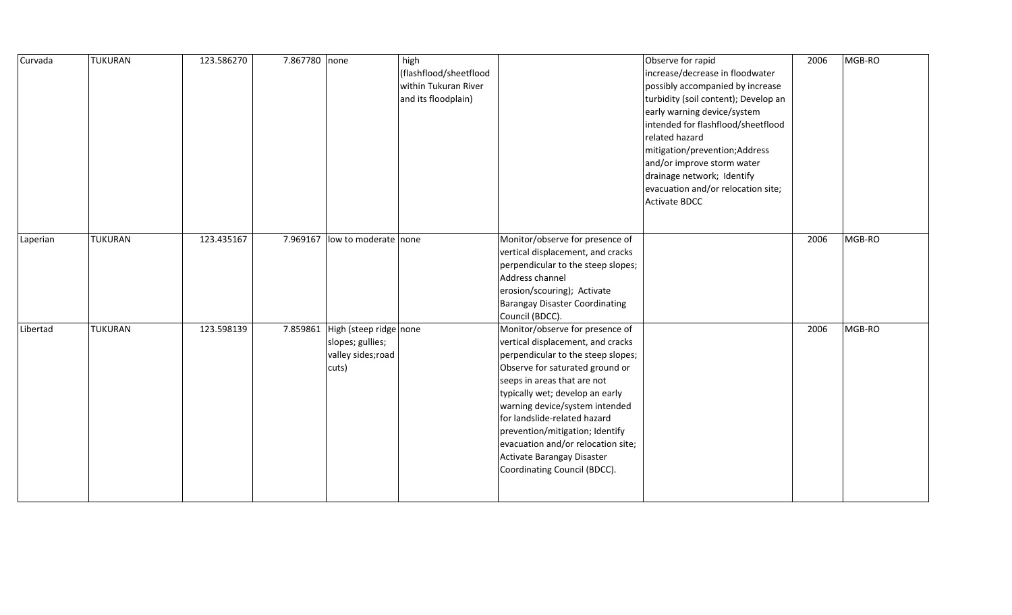| Curvada  | <b>TUKURAN</b> | 123.586270 | 7.867780 none |                                                                                    | high<br>(flashflood/sheetflood<br>within Tukuran River<br>and its floodplain) |                                                                                                                                                                                                                                                                                                                                                                                                                          | Observe for rapid<br>increase/decrease in floodwater<br>possibly accompanied by increase<br>turbidity (soil content); Develop an<br>early warning device/system<br>intended for flashflood/sheetflood<br>related hazard<br>mitigation/prevention;Address<br>and/or improve storm water<br>drainage network; Identify<br>evacuation and/or relocation site;<br><b>Activate BDCC</b> | 2006 | MGB-RO |
|----------|----------------|------------|---------------|------------------------------------------------------------------------------------|-------------------------------------------------------------------------------|--------------------------------------------------------------------------------------------------------------------------------------------------------------------------------------------------------------------------------------------------------------------------------------------------------------------------------------------------------------------------------------------------------------------------|------------------------------------------------------------------------------------------------------------------------------------------------------------------------------------------------------------------------------------------------------------------------------------------------------------------------------------------------------------------------------------|------|--------|
| Laperian | TUKURAN        | 123.435167 | 7.969167      | low to moderate none                                                               |                                                                               | Monitor/observe for presence of<br>vertical displacement, and cracks<br>perpendicular to the steep slopes;<br>Address channel<br>erosion/scouring); Activate<br><b>Barangay Disaster Coordinating</b><br>Council (BDCC).                                                                                                                                                                                                 |                                                                                                                                                                                                                                                                                                                                                                                    | 2006 | MGB-RO |
| Libertad | <b>TUKURAN</b> | 123.598139 |               | 7.859861 High (steep ridge none<br>slopes; gullies;<br>valley sides; road<br>cuts) |                                                                               | Monitor/observe for presence of<br>vertical displacement, and cracks<br>perpendicular to the steep slopes;<br>Observe for saturated ground or<br>seeps in areas that are not<br>typically wet; develop an early<br>warning device/system intended<br>for landslide-related hazard<br>prevention/mitigation; Identify<br>evacuation and/or relocation site;<br>Activate Barangay Disaster<br>Coordinating Council (BDCC). |                                                                                                                                                                                                                                                                                                                                                                                    | 2006 | MGB-RO |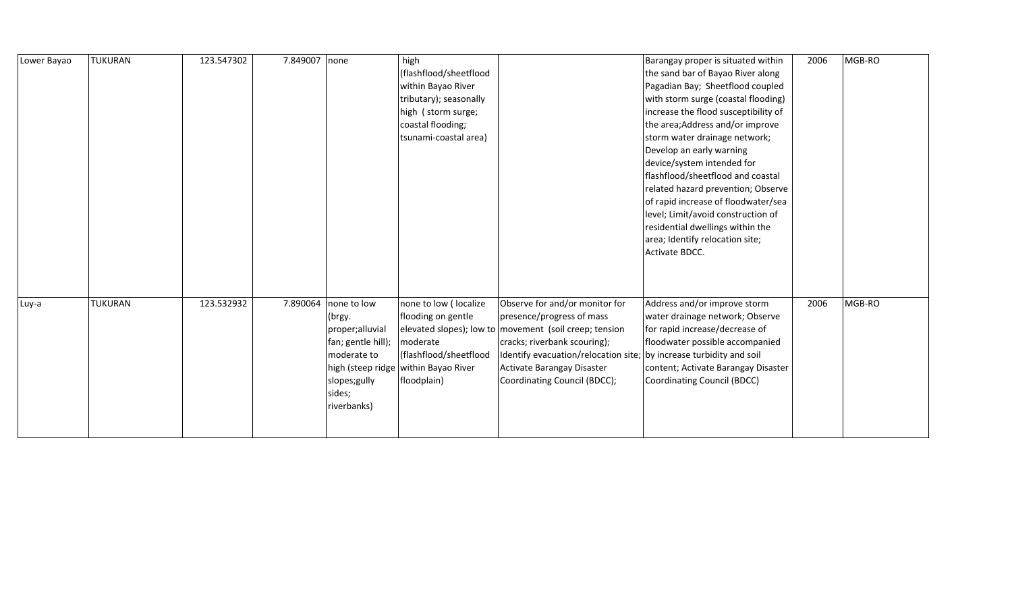| Lower Bayao | <b>TUKURAN</b> | 123.547302 | 7.849007 | none                                                                                                                   | high<br>(flashflood/sheetflood<br>within Bayao River<br>tributary); seasonally<br>high (storm surge;<br>coastal flooding;<br>tsunami-coastal area) |                                                                                                                                                                                                                                                                                            | Barangay proper is situated within<br>the sand bar of Bayao River along<br>Pagadian Bay; Sheetflood coupled<br>with storm surge (coastal flooding)<br>increase the flood susceptibility of<br>the area; Address and/or improve<br>storm water drainage network;<br>Develop an early warning<br>device/system intended for<br>flashflood/sheetflood and coastal<br>related hazard prevention; Observe<br>of rapid increase of floodwater/sea<br>level; Limit/avoid construction of<br>residential dwellings within the<br>area; Identify relocation site;<br>Activate BDCC. | 2006 | MGB-RO |
|-------------|----------------|------------|----------|------------------------------------------------------------------------------------------------------------------------|----------------------------------------------------------------------------------------------------------------------------------------------------|--------------------------------------------------------------------------------------------------------------------------------------------------------------------------------------------------------------------------------------------------------------------------------------------|----------------------------------------------------------------------------------------------------------------------------------------------------------------------------------------------------------------------------------------------------------------------------------------------------------------------------------------------------------------------------------------------------------------------------------------------------------------------------------------------------------------------------------------------------------------------------|------|--------|
| Luy-a       | <b>TUKURAN</b> | 123.532932 | 7.890064 | none to low<br>(brgy.<br>proper;alluvial<br>fan; gentle hill);<br>moderate to<br>slopes;gully<br>sides;<br>riverbanks) | none to low (localize<br>flooding on gentle<br>moderate<br>(flashflood/sheetflood<br>high (steep ridge   within Bayao River<br>floodplain)         | Observe for and/or monitor for<br>presence/progress of mass<br>elevated slopes); low to movement (soil creep; tension<br>cracks; riverbank scouring);<br>Identify evacuation/relocation site; by increase turbidity and soil<br>Activate Barangay Disaster<br>Coordinating Council (BDCC); | Address and/or improve storm<br>water drainage network; Observe<br>for rapid increase/decrease of<br>floodwater possible accompanied<br>content; Activate Barangay Disaster<br>Coordinating Council (BDCC)                                                                                                                                                                                                                                                                                                                                                                 | 2006 | MGB-RO |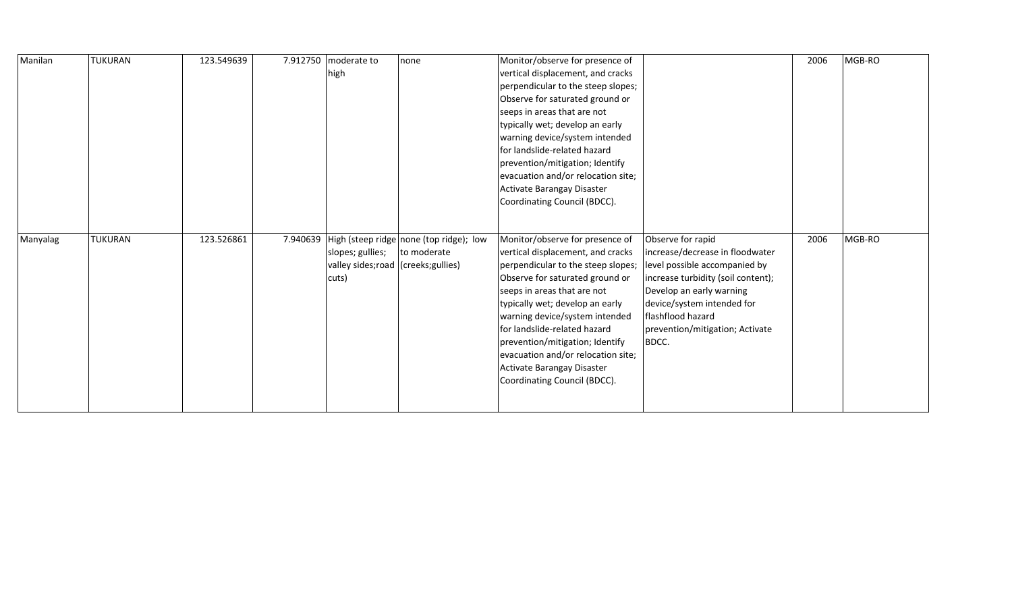| Manilan  | <b>TUKURAN</b> | 123.549639 |          | 7.912750 moderate to                 | none                                    | Monitor/observe for presence of    |                                    | 2006 | MGB-RO |
|----------|----------------|------------|----------|--------------------------------------|-----------------------------------------|------------------------------------|------------------------------------|------|--------|
|          |                |            |          | high                                 |                                         | vertical displacement, and cracks  |                                    |      |        |
|          |                |            |          |                                      |                                         | perpendicular to the steep slopes; |                                    |      |        |
|          |                |            |          |                                      |                                         | Observe for saturated ground or    |                                    |      |        |
|          |                |            |          |                                      |                                         | seeps in areas that are not        |                                    |      |        |
|          |                |            |          |                                      |                                         | typically wet; develop an early    |                                    |      |        |
|          |                |            |          |                                      |                                         | warning device/system intended     |                                    |      |        |
|          |                |            |          |                                      |                                         | for landslide-related hazard       |                                    |      |        |
|          |                |            |          |                                      |                                         | prevention/mitigation; Identify    |                                    |      |        |
|          |                |            |          |                                      |                                         | evacuation and/or relocation site; |                                    |      |        |
|          |                |            |          |                                      |                                         | Activate Barangay Disaster         |                                    |      |        |
|          |                |            |          |                                      |                                         | Coordinating Council (BDCC).       |                                    |      |        |
|          |                |            |          |                                      |                                         |                                    |                                    |      |        |
|          |                |            |          |                                      |                                         |                                    |                                    |      |        |
| Manyalag | <b>TUKURAN</b> | 123.526861 | 7.940639 |                                      | High (steep ridge none (top ridge); low | Monitor/observe for presence of    | Observe for rapid                  | 2006 | MGB-RO |
|          |                |            |          |                                      |                                         |                                    |                                    |      |        |
|          |                |            |          | slopes; gullies;                     | to moderate                             | vertical displacement, and cracks  | increase/decrease in floodwater    |      |        |
|          |                |            |          | valley sides; road (creeks; gullies) |                                         | perpendicular to the steep slopes; | level possible accompanied by      |      |        |
|          |                |            |          | cuts)                                |                                         | Observe for saturated ground or    | increase turbidity (soil content); |      |        |
|          |                |            |          |                                      |                                         | seeps in areas that are not        | Develop an early warning           |      |        |
|          |                |            |          |                                      |                                         | typically wet; develop an early    | device/system intended for         |      |        |
|          |                |            |          |                                      |                                         | warning device/system intended     | flashflood hazard                  |      |        |
|          |                |            |          |                                      |                                         | for landslide-related hazard       | prevention/mitigation; Activate    |      |        |
|          |                |            |          |                                      |                                         | prevention/mitigation; Identify    | BDCC.                              |      |        |
|          |                |            |          |                                      |                                         | evacuation and/or relocation site; |                                    |      |        |
|          |                |            |          |                                      |                                         | Activate Barangay Disaster         |                                    |      |        |
|          |                |            |          |                                      |                                         | Coordinating Council (BDCC).       |                                    |      |        |
|          |                |            |          |                                      |                                         |                                    |                                    |      |        |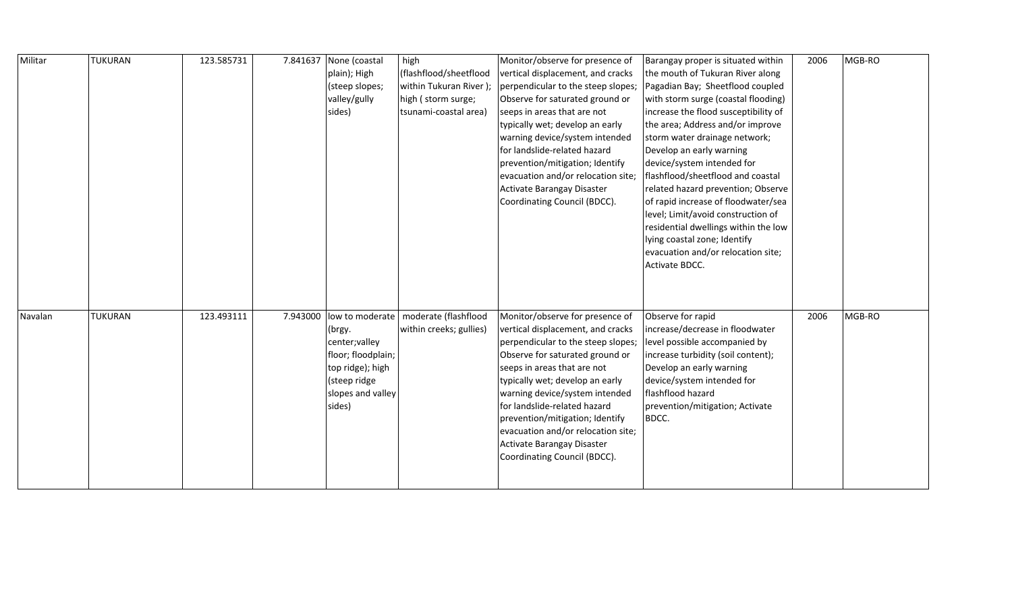| Militar | TUKURAN | 123.585731 |          | 7.841637 None (coastal | high                    | Monitor/observe for presence of    | Barangay proper is situated within   | 2006 | MGB-RO |
|---------|---------|------------|----------|------------------------|-------------------------|------------------------------------|--------------------------------------|------|--------|
|         |         |            |          | plain); High           | (flashflood/sheetflood  | vertical displacement, and cracks  | the mouth of Tukuran River along     |      |        |
|         |         |            |          | (steep slopes;         | within Tukuran River);  | perpendicular to the steep slopes; | Pagadian Bay; Sheetflood coupled     |      |        |
|         |         |            |          | valley/gully           | high (storm surge;      | Observe for saturated ground or    | with storm surge (coastal flooding)  |      |        |
|         |         |            |          | sides)                 | tsunami-coastal area)   | seeps in areas that are not        | increase the flood susceptibility of |      |        |
|         |         |            |          |                        |                         | typically wet; develop an early    | the area; Address and/or improve     |      |        |
|         |         |            |          |                        |                         | warning device/system intended     | storm water drainage network;        |      |        |
|         |         |            |          |                        |                         | for landslide-related hazard       | Develop an early warning             |      |        |
|         |         |            |          |                        |                         | prevention/mitigation; Identify    | device/system intended for           |      |        |
|         |         |            |          |                        |                         | evacuation and/or relocation site; | flashflood/sheetflood and coastal    |      |        |
|         |         |            |          |                        |                         | Activate Barangay Disaster         | related hazard prevention; Observe   |      |        |
|         |         |            |          |                        |                         | Coordinating Council (BDCC).       | of rapid increase of floodwater/sea  |      |        |
|         |         |            |          |                        |                         |                                    | level; Limit/avoid construction of   |      |        |
|         |         |            |          |                        |                         |                                    | residential dwellings within the low |      |        |
|         |         |            |          |                        |                         |                                    | lying coastal zone; Identify         |      |        |
|         |         |            |          |                        |                         |                                    | evacuation and/or relocation site;   |      |        |
|         |         |            |          |                        |                         |                                    | Activate BDCC.                       |      |        |
|         |         |            |          |                        |                         |                                    |                                      |      |        |
|         |         |            |          |                        |                         |                                    |                                      |      |        |
|         |         |            |          |                        |                         |                                    |                                      |      |        |
| Navalan | TUKURAN | 123.493111 | 7.943000 | low to moderate        | moderate (flashflood    | Monitor/observe for presence of    | Observe for rapid                    | 2006 | MGB-RO |
|         |         |            |          | (brgy.                 | within creeks; gullies) | vertical displacement, and cracks  | increase/decrease in floodwater      |      |        |
|         |         |            |          | center; valley         |                         | perpendicular to the steep slopes; | level possible accompanied by        |      |        |
|         |         |            |          | floor; floodplain;     |                         | Observe for saturated ground or    | increase turbidity (soil content);   |      |        |
|         |         |            |          | top ridge); high       |                         | seeps in areas that are not        | Develop an early warning             |      |        |
|         |         |            |          | (steep ridge           |                         | typically wet; develop an early    | device/system intended for           |      |        |
|         |         |            |          | slopes and valley      |                         | warning device/system intended     | flashflood hazard                    |      |        |
|         |         |            |          | sides)                 |                         | for landslide-related hazard       | prevention/mitigation; Activate      |      |        |
|         |         |            |          |                        |                         | prevention/mitigation; Identify    | BDCC.                                |      |        |
|         |         |            |          |                        |                         | evacuation and/or relocation site; |                                      |      |        |
|         |         |            |          |                        |                         | Activate Barangay Disaster         |                                      |      |        |
|         |         |            |          |                        |                         | Coordinating Council (BDCC).       |                                      |      |        |
|         |         |            |          |                        |                         |                                    |                                      |      |        |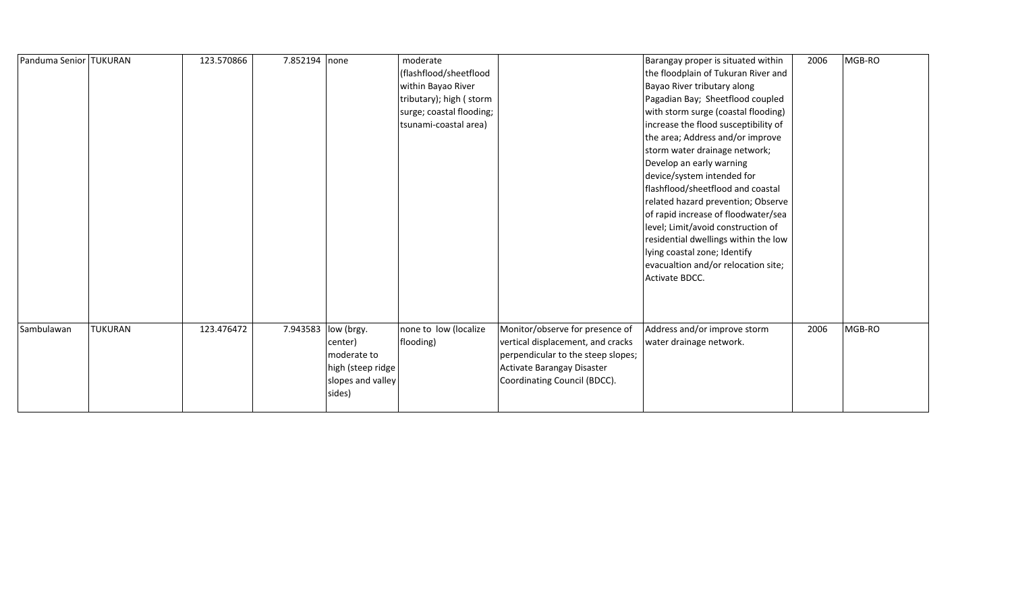| Panduma Senior TUKURAN |                | 123.570866 | 7.852194 none        |                                                                            | moderate<br>(flashflood/sheetflood<br>within Bayao River<br>tributary); high (storm<br>surge; coastal flooding;<br>tsunami-coastal area) |                                                                                                                                                                          | Barangay proper is situated within<br>the floodplain of Tukuran River and<br>Bayao River tributary along<br>Pagadian Bay; Sheetflood coupled<br>with storm surge (coastal flooding)<br>increase the flood susceptibility of<br>the area; Address and/or improve<br>storm water drainage network;<br>Develop an early warning<br>device/system intended for<br>flashflood/sheetflood and coastal<br>related hazard prevention; Observe<br>of rapid increase of floodwater/sea<br>level; Limit/avoid construction of<br>residential dwellings within the low<br>lying coastal zone; Identify<br>evacualtion and/or relocation site;<br>Activate BDCC. | 2006 | MGB-RO |
|------------------------|----------------|------------|----------------------|----------------------------------------------------------------------------|------------------------------------------------------------------------------------------------------------------------------------------|--------------------------------------------------------------------------------------------------------------------------------------------------------------------------|-----------------------------------------------------------------------------------------------------------------------------------------------------------------------------------------------------------------------------------------------------------------------------------------------------------------------------------------------------------------------------------------------------------------------------------------------------------------------------------------------------------------------------------------------------------------------------------------------------------------------------------------------------|------|--------|
| Sambulawan             | <b>TUKURAN</b> | 123.476472 | 7.943583  low (brgy. | center)<br>moderate to<br>high (steep ridge<br>slopes and valley<br>sides) | none to low (localize<br>flooding)                                                                                                       | Monitor/observe for presence of<br>vertical displacement, and cracks<br>perpendicular to the steep slopes;<br>Activate Barangay Disaster<br>Coordinating Council (BDCC). | Address and/or improve storm<br>water drainage network.                                                                                                                                                                                                                                                                                                                                                                                                                                                                                                                                                                                             | 2006 | MGB-RO |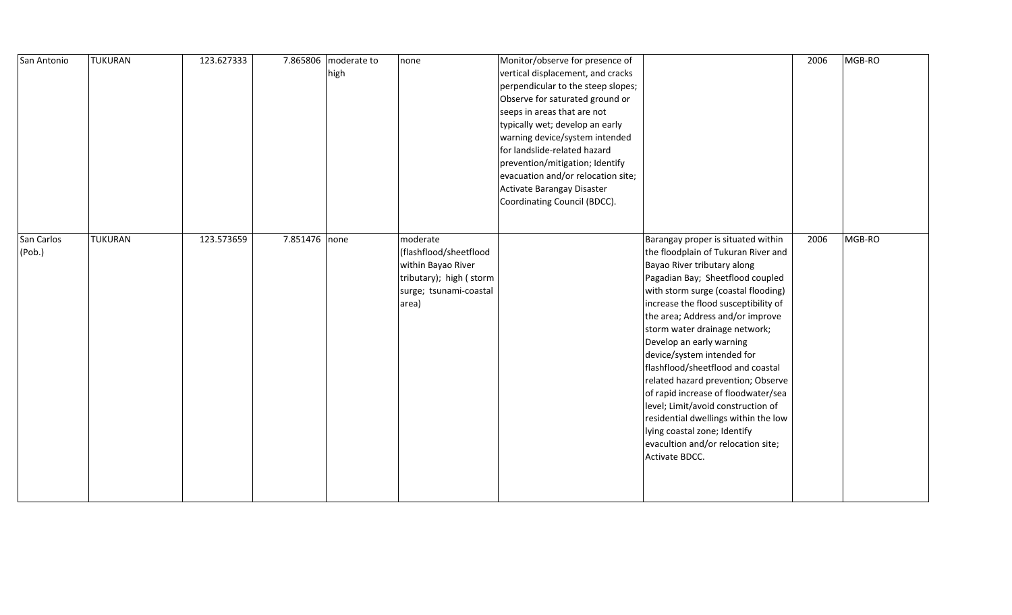| San Antonio          | <b>TUKURAN</b> | 123.627333 |               | 7.865806 moderate to<br>high | none                                                                                                                   | Monitor/observe for presence of<br>vertical displacement, and cracks<br>perpendicular to the steep slopes;<br>Observe for saturated ground or<br>seeps in areas that are not<br>typically wet; develop an early<br>warning device/system intended<br>for landslide-related hazard<br>prevention/mitigation; Identify<br>evacuation and/or relocation site;<br>Activate Barangay Disaster<br>Coordinating Council (BDCC). |                                                                                                                                                                                                                                                                                                                                                                                                                                                                                                                                                                                                                                                    | 2006 | MGB-RO |
|----------------------|----------------|------------|---------------|------------------------------|------------------------------------------------------------------------------------------------------------------------|--------------------------------------------------------------------------------------------------------------------------------------------------------------------------------------------------------------------------------------------------------------------------------------------------------------------------------------------------------------------------------------------------------------------------|----------------------------------------------------------------------------------------------------------------------------------------------------------------------------------------------------------------------------------------------------------------------------------------------------------------------------------------------------------------------------------------------------------------------------------------------------------------------------------------------------------------------------------------------------------------------------------------------------------------------------------------------------|------|--------|
| San Carlos<br>(Pob.) | <b>TUKURAN</b> | 123.573659 | 7.851476 none |                              | moderate<br>(flashflood/sheetflood<br>within Bayao River<br>tributary); high (storm<br>surge; tsunami-coastal<br>area) |                                                                                                                                                                                                                                                                                                                                                                                                                          | Barangay proper is situated within<br>the floodplain of Tukuran River and<br>Bayao River tributary along<br>Pagadian Bay; Sheetflood coupled<br>with storm surge (coastal flooding)<br>increase the flood susceptibility of<br>the area; Address and/or improve<br>storm water drainage network;<br>Develop an early warning<br>device/system intended for<br>flashflood/sheetflood and coastal<br>related hazard prevention; Observe<br>of rapid increase of floodwater/sea<br>level; Limit/avoid construction of<br>residential dwellings within the low<br>lying coastal zone; Identify<br>evacultion and/or relocation site;<br>Activate BDCC. | 2006 | MGB-RO |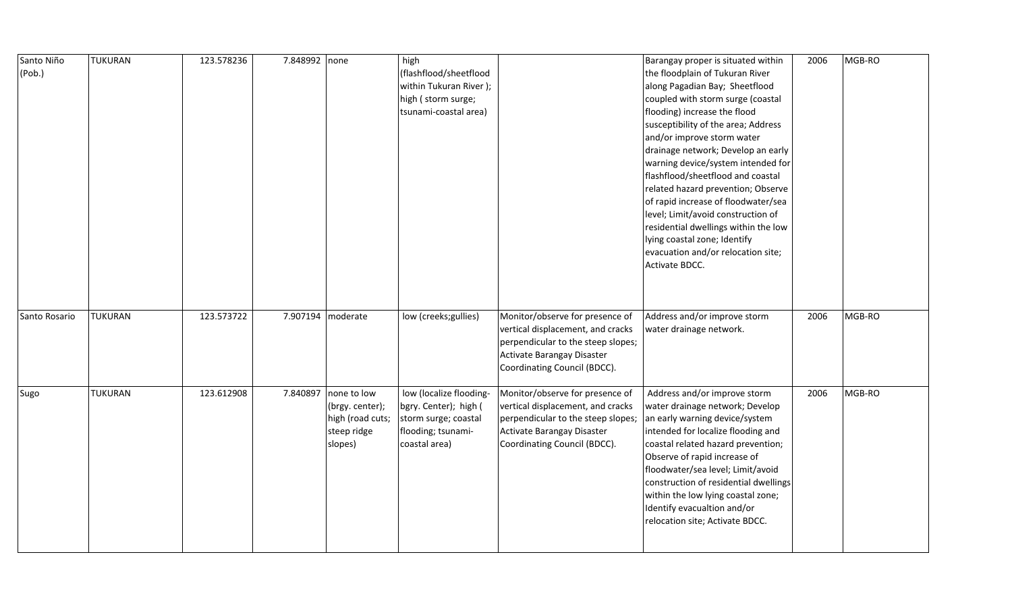| Santo Niño<br>(Pob.) | <b>TUKURAN</b> | 123.578236 | 7.848992 none |                  | high<br>(flashflood/sheetflood |                                    | Barangay proper is situated within<br>the floodplain of Tukuran River | 2006 | MGB-RO |
|----------------------|----------------|------------|---------------|------------------|--------------------------------|------------------------------------|-----------------------------------------------------------------------|------|--------|
|                      |                |            |               |                  | within Tukuran River);         |                                    | along Pagadian Bay; Sheetflood                                        |      |        |
|                      |                |            |               |                  | high (storm surge;             |                                    | coupled with storm surge (coastal                                     |      |        |
|                      |                |            |               |                  | tsunami-coastal area)          |                                    | flooding) increase the flood                                          |      |        |
|                      |                |            |               |                  |                                |                                    | susceptibility of the area; Address                                   |      |        |
|                      |                |            |               |                  |                                |                                    | and/or improve storm water                                            |      |        |
|                      |                |            |               |                  |                                |                                    | drainage network; Develop an early                                    |      |        |
|                      |                |            |               |                  |                                |                                    | warning device/system intended for                                    |      |        |
|                      |                |            |               |                  |                                |                                    | flashflood/sheetflood and coastal                                     |      |        |
|                      |                |            |               |                  |                                |                                    | related hazard prevention; Observe                                    |      |        |
|                      |                |            |               |                  |                                |                                    | of rapid increase of floodwater/sea                                   |      |        |
|                      |                |            |               |                  |                                |                                    | level; Limit/avoid construction of                                    |      |        |
|                      |                |            |               |                  |                                |                                    | residential dwellings within the low                                  |      |        |
|                      |                |            |               |                  |                                |                                    | lying coastal zone; Identify                                          |      |        |
|                      |                |            |               |                  |                                |                                    | evacuation and/or relocation site;                                    |      |        |
|                      |                |            |               |                  |                                |                                    | Activate BDCC.                                                        |      |        |
|                      |                |            |               |                  |                                |                                    |                                                                       |      |        |
|                      |                |            |               |                  |                                |                                    |                                                                       |      |        |
|                      |                |            |               |                  |                                |                                    |                                                                       |      |        |
| Santo Rosario        | <b>TUKURAN</b> | 123.573722 | 7.907194      | moderate         | low (creeks; gullies)          | Monitor/observe for presence of    | Address and/or improve storm                                          | 2006 | MGB-RO |
|                      |                |            |               |                  |                                | vertical displacement, and cracks  | water drainage network.                                               |      |        |
|                      |                |            |               |                  |                                | perpendicular to the steep slopes; |                                                                       |      |        |
|                      |                |            |               |                  |                                | Activate Barangay Disaster         |                                                                       |      |        |
|                      |                |            |               |                  |                                | Coordinating Council (BDCC).       |                                                                       |      |        |
| Sugo                 | <b>TUKURAN</b> | 123.612908 | 7.840897      | none to low      | low (localize flooding-        | Monitor/observe for presence of    | Address and/or improve storm                                          | 2006 | MGB-RO |
|                      |                |            |               | (brgy. center);  | bgry. Center); high (          | vertical displacement, and cracks  | water drainage network; Develop                                       |      |        |
|                      |                |            |               | high (road cuts; | storm surge; coastal           | perpendicular to the steep slopes; | an early warning device/system                                        |      |        |
|                      |                |            |               | steep ridge      | flooding; tsunami-             | Activate Barangay Disaster         | intended for localize flooding and                                    |      |        |
|                      |                |            |               | slopes)          | coastal area)                  | Coordinating Council (BDCC).       | coastal related hazard prevention;                                    |      |        |
|                      |                |            |               |                  |                                |                                    | Observe of rapid increase of                                          |      |        |
|                      |                |            |               |                  |                                |                                    | floodwater/sea level; Limit/avoid                                     |      |        |
|                      |                |            |               |                  |                                |                                    | construction of residential dwellings                                 |      |        |
|                      |                |            |               |                  |                                |                                    | within the low lying coastal zone;                                    |      |        |
|                      |                |            |               |                  |                                |                                    | Identify evacualtion and/or                                           |      |        |
|                      |                |            |               |                  |                                |                                    | relocation site; Activate BDCC.                                       |      |        |
|                      |                |            |               |                  |                                |                                    |                                                                       |      |        |
|                      |                |            |               |                  |                                |                                    |                                                                       |      |        |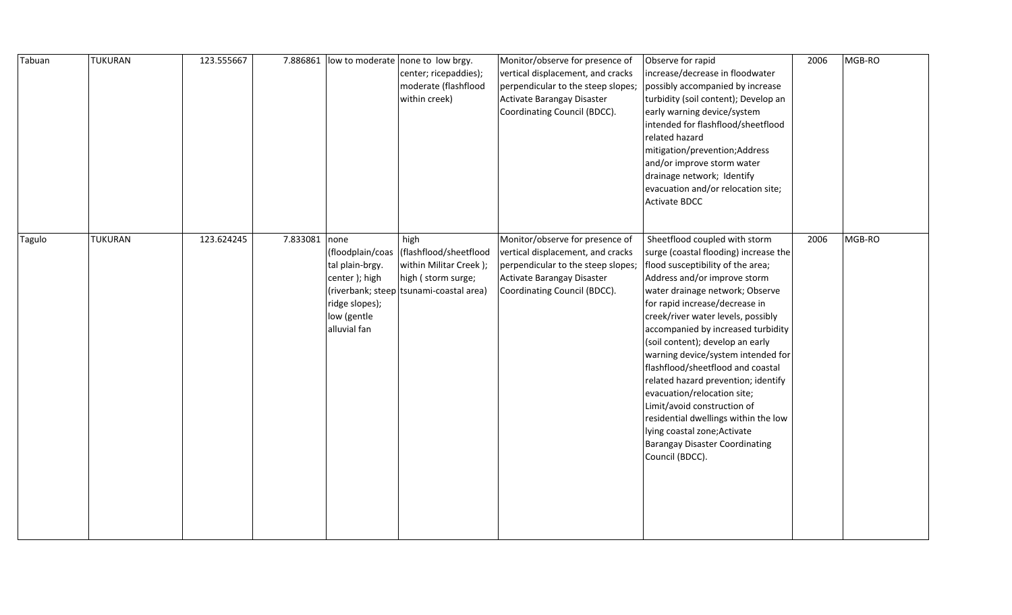| Tabuan | <b>TUKURAN</b> | 123.555667 | 7.886861      |                                                                                   | low to moderate none to low brgy.<br>center; ricepaddies);<br>moderate (flashflood<br>within creek)                                        | Monitor/observe for presence of<br>vertical displacement, and cracks<br>perpendicular to the steep slopes;<br>Activate Barangay Disaster<br>Coordinating Council (BDCC). | Observe for rapid<br>increase/decrease in floodwater<br>possibly accompanied by increase<br>turbidity (soil content); Develop an<br>early warning device/system<br>intended for flashflood/sheetflood<br>related hazard<br>mitigation/prevention;Address<br>and/or improve storm water<br>drainage network; Identify<br>evacuation and/or relocation site;<br><b>Activate BDCC</b>                                                                                                                                                                                                                                                                   | 2006 | MGB-RO |
|--------|----------------|------------|---------------|-----------------------------------------------------------------------------------|--------------------------------------------------------------------------------------------------------------------------------------------|--------------------------------------------------------------------------------------------------------------------------------------------------------------------------|------------------------------------------------------------------------------------------------------------------------------------------------------------------------------------------------------------------------------------------------------------------------------------------------------------------------------------------------------------------------------------------------------------------------------------------------------------------------------------------------------------------------------------------------------------------------------------------------------------------------------------------------------|------|--------|
| Tagulo | <b>TUKURAN</b> | 123.624245 | 7.833081 none | tal plain-brgy.<br>center); high<br>ridge slopes);<br>low (gentle<br>alluvial fan | high<br>(floodplain/coas (flashflood/sheetflood<br>within Militar Creek);<br>high (storm surge;<br>(riverbank; steep tsunami-coastal area) | Monitor/observe for presence of<br>vertical displacement, and cracks<br>perpendicular to the steep slopes;<br>Activate Barangay Disaster<br>Coordinating Council (BDCC). | Sheetflood coupled with storm<br>surge (coastal flooding) increase the<br>flood susceptibility of the area;<br>Address and/or improve storm<br>water drainage network; Observe<br>for rapid increase/decrease in<br>creek/river water levels, possibly<br>accompanied by increased turbidity<br>(soil content); develop an early<br>warning device/system intended for<br>flashflood/sheetflood and coastal<br>related hazard prevention; identify<br>evacuation/relocation site;<br>Limit/avoid construction of<br>residential dwellings within the low<br>lying coastal zone; Activate<br><b>Barangay Disaster Coordinating</b><br>Council (BDCC). | 2006 | MGB-RO |